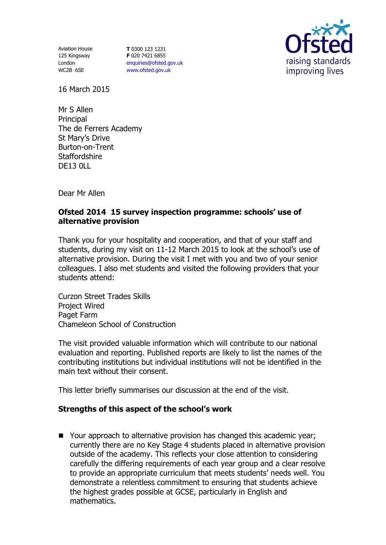Aviation House 125 Kingsway London WC2B 6SE

**T** 0300 123 1231 **F** 020 7421 6855 [enquiries@ofsted.gov.uk](mailto:enquiries@ofsted.gov.uk) [www.ofsted.gov.uk](http://www.ofsted.gov.uk/)



16 March 2015

Mr S Allen **Principal** The de Ferrers Academy St Mary's Drive Burton-on-Trent **Staffordshire** DE13 0LL

Dear Mr Allen

## **Ofsted 2014 15 survey inspection programme: schools' use of alternative provision**

Thank you for your hospitality and cooperation, and that of your staff and students, during my visit on 11-12 March 2015 to look at the school's use of alternative provision. During the visit I met with you and two of your senior colleagues. I also met students and visited the following providers that your students attend:

Curzon Street Trades Skills Project Wired Paget Farm Chameleon School of Construction

The visit provided valuable information which will contribute to our national evaluation and reporting. Published reports are likely to list the names of the contributing institutions but individual institutions will not be identified in the main text without their consent.

This letter briefly summarises our discussion at the end of the visit.

## **Strengths of this aspect of the school's work**

■ Your approach to alternative provision has changed this academic year; currently there are no Key Stage 4 students placed in alternative provision outside of the academy. This reflects your close attention to considering carefully the differing requirements of each year group and a clear resolve to provide an appropriate curriculum that meets students' needs well. You demonstrate a relentless commitment to ensuring that students achieve the highest grades possible at GCSE, particularly in English and mathematics.